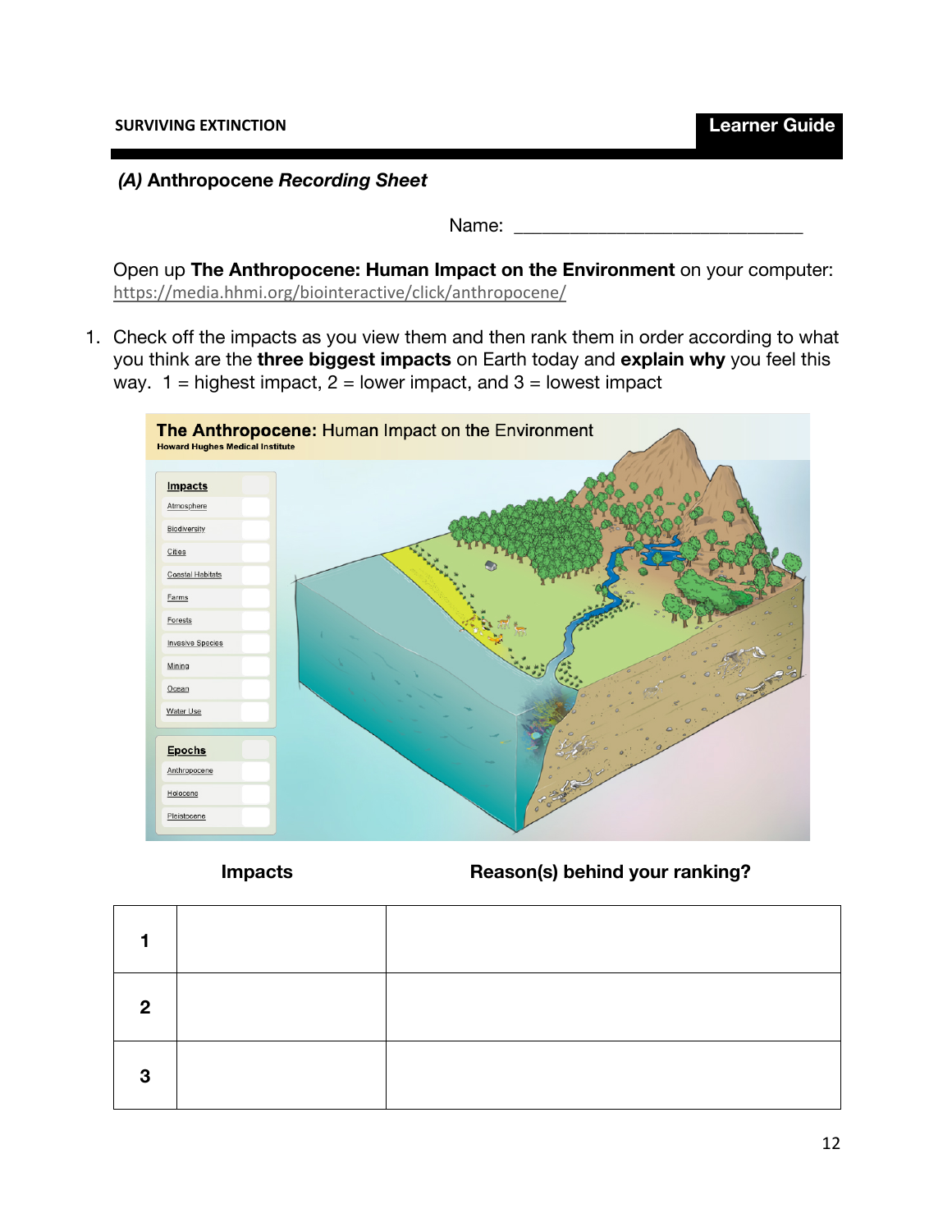### *(A)* **Anthropocene** *Recording Sheet*

Name:  $\Box$ 

Open up **The Anthropocene: Human Impact on the Environment** on your computer: https://media.hhmi.org/biointeractive/click/anthropocene/

1. Check off the impacts as you view them and then rank them in order according to what you think are the **three biggest impacts** on Earth today and **explain why** you feel this way.  $1 =$  highest impact,  $2 =$  lower impact, and  $3 =$  lowest impact



**Impacts Reason(s) behind your ranking?**

| Ω |  |
|---|--|
| 3 |  |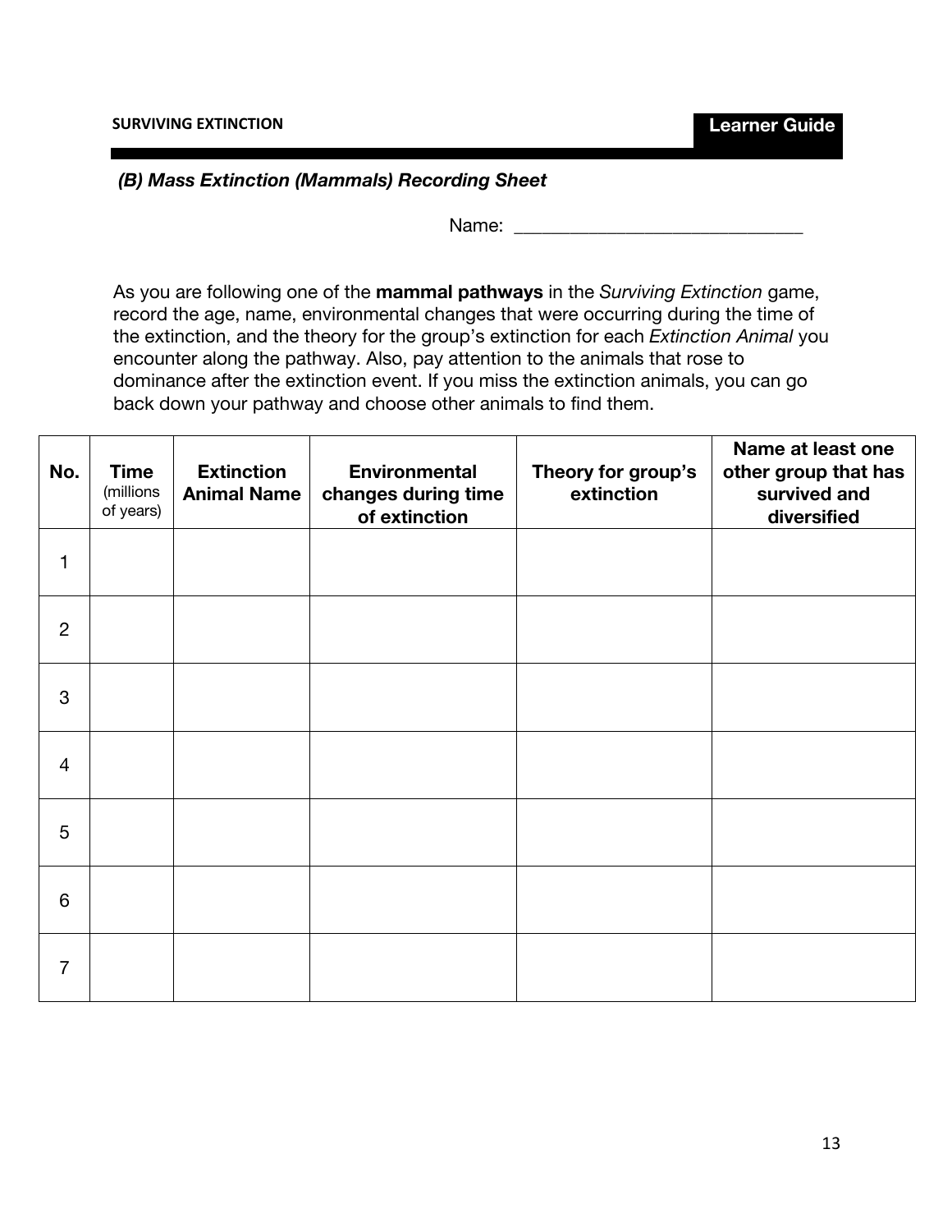# *(B) Mass Extinction (Mammals) Recording Sheet*

Name: \_\_\_\_\_\_\_\_\_\_\_\_\_\_\_\_\_\_\_\_\_\_\_\_\_\_\_\_\_\_\_

As you are following one of the **mammal pathways** in the *Surviving Extinction* game, record the age, name, environmental changes that were occurring during the time of the extinction, and the theory for the group's extinction for each *Extinction Animal* you encounter along the pathway. Also, pay attention to the animals that rose to dominance after the extinction event. If you miss the extinction animals, you can go back down your pathway and choose other animals to find them.

| No.            | <b>Time</b><br>(millions<br>of years) | <b>Extinction</b><br><b>Animal Name</b> | <b>Environmental</b><br>changes during time<br>of extinction | Theory for group's<br>extinction | Name at least one<br>other group that has<br>survived and<br>diversified |
|----------------|---------------------------------------|-----------------------------------------|--------------------------------------------------------------|----------------------------------|--------------------------------------------------------------------------|
| 1              |                                       |                                         |                                                              |                                  |                                                                          |
| $\overline{2}$ |                                       |                                         |                                                              |                                  |                                                                          |
| 3              |                                       |                                         |                                                              |                                  |                                                                          |
| $\overline{4}$ |                                       |                                         |                                                              |                                  |                                                                          |
| 5              |                                       |                                         |                                                              |                                  |                                                                          |
| 6              |                                       |                                         |                                                              |                                  |                                                                          |
| $\overline{7}$ |                                       |                                         |                                                              |                                  |                                                                          |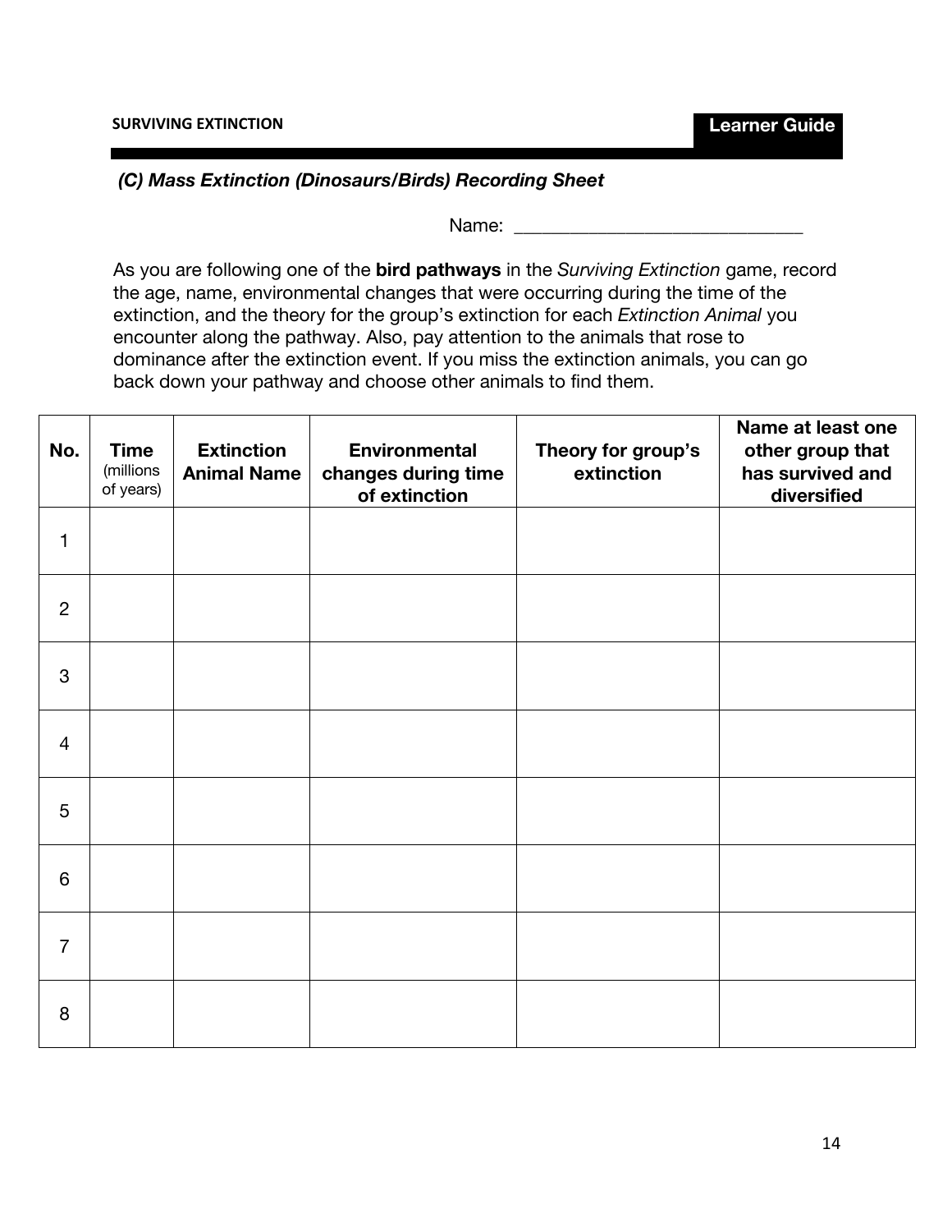### *(C) Mass Extinction (Dinosaurs/Birds) Recording Sheet*

Name:

As you are following one of the **bird pathways** in the *Surviving Extinction* game, record the age, name, environmental changes that were occurring during the time of the extinction, and the theory for the group's extinction for each *Extinction Animal* you encounter along the pathway. Also, pay attention to the animals that rose to dominance after the extinction event. If you miss the extinction animals, you can go back down your pathway and choose other animals to find them.

| No.            | <b>Time</b><br>(millions<br>of years) | <b>Extinction</b><br><b>Animal Name</b> | <b>Environmental</b><br>changes during time<br>of extinction | Theory for group's<br>extinction | Name at least one<br>other group that<br>has survived and<br>diversified |
|----------------|---------------------------------------|-----------------------------------------|--------------------------------------------------------------|----------------------------------|--------------------------------------------------------------------------|
| $\mathbf{1}$   |                                       |                                         |                                                              |                                  |                                                                          |
| $\overline{2}$ |                                       |                                         |                                                              |                                  |                                                                          |
| $\mathbf{3}$   |                                       |                                         |                                                              |                                  |                                                                          |
| $\overline{4}$ |                                       |                                         |                                                              |                                  |                                                                          |
| $\overline{5}$ |                                       |                                         |                                                              |                                  |                                                                          |
| $6\,$          |                                       |                                         |                                                              |                                  |                                                                          |
| $\overline{7}$ |                                       |                                         |                                                              |                                  |                                                                          |
| 8              |                                       |                                         |                                                              |                                  |                                                                          |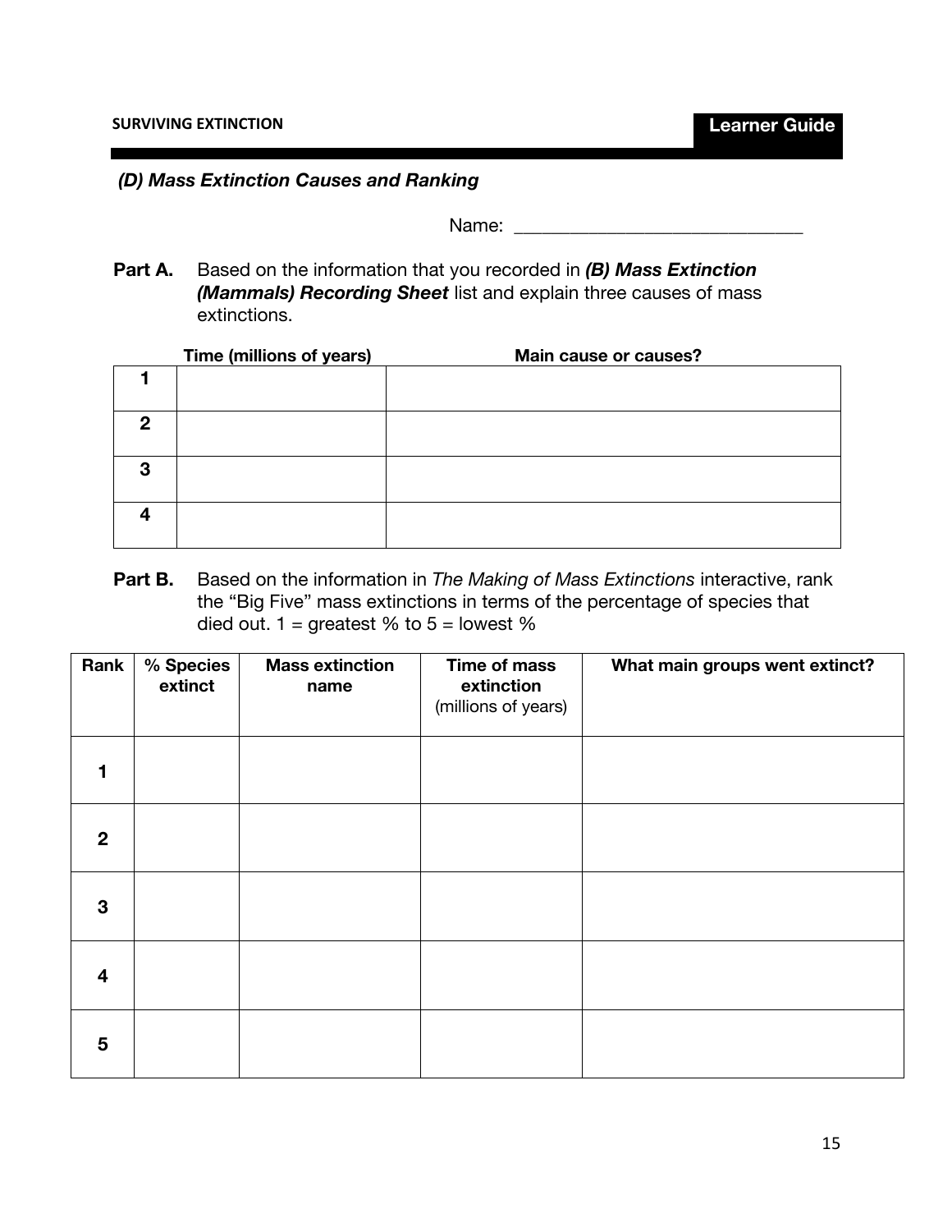### *(D) Mass Extinction Causes and Ranking*

Name: \_\_\_\_\_\_\_\_\_\_\_\_\_\_\_\_\_\_\_\_\_\_\_\_\_\_\_\_\_\_\_

**Part A.** Based on the information that you recorded in *(B) Mass Extinction (Mammals) Recording Sheet* list and explain three causes of mass extinctions.

|   | Time (millions of years) | Main cause or causes? |
|---|--------------------------|-----------------------|
|   |                          |                       |
| 2 |                          |                       |
| 3 |                          |                       |
|   |                          |                       |

**Part B.** Based on the information in *The Making of Mass Extinctions* interactive, rank the "Big Five" mass extinctions in terms of the percentage of species that died out.  $1 =$  greatest % to  $5 =$  lowest %

| Rank           | % Species<br>extinct | <b>Mass extinction</b><br>name | Time of mass<br>extinction<br>(millions of years) | What main groups went extinct? |
|----------------|----------------------|--------------------------------|---------------------------------------------------|--------------------------------|
|                |                      |                                |                                                   |                                |
| $\mathbf{2}$   |                      |                                |                                                   |                                |
| 3              |                      |                                |                                                   |                                |
| $\overline{4}$ |                      |                                |                                                   |                                |
| $5\phantom{1}$ |                      |                                |                                                   |                                |